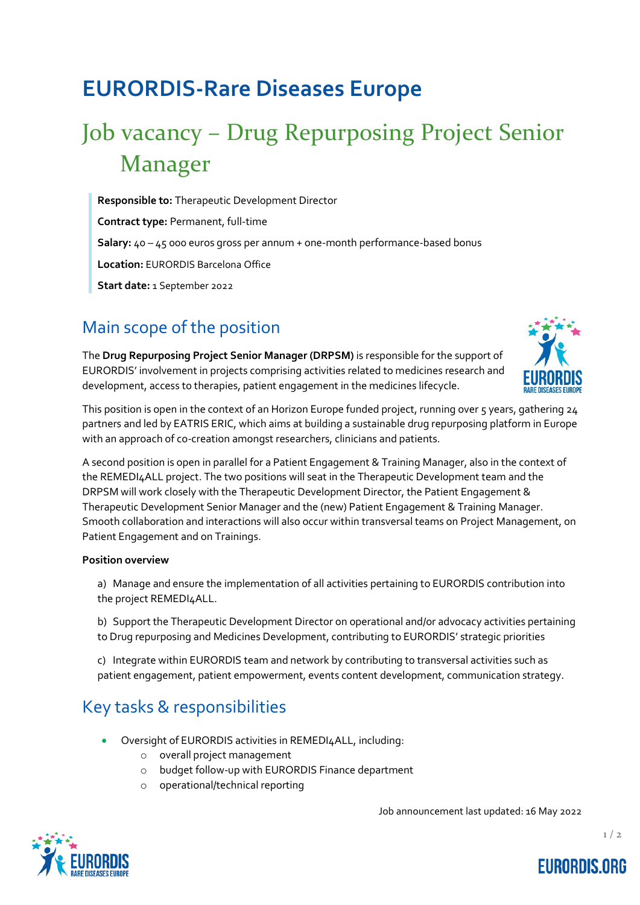## **EURORDIS-Rare Diseases Europe**

# Job vacancy – Drug Repurposing Project Senior Manager

**Responsible to:** Therapeutic Development Director **Contract type:** Permanent, full-time

**Salary:** 40 – 45 000 euros gross per annum + one-month performance-based bonus

**Location:** EURORDIS Barcelona Office

**Start date:** 1 September 2022

### Main scope of the position

The **Drug Repurposing Project Senior Manager (DRPSM)** is responsible for the support of EURORDIS' involvement in projects comprising activities related to medicines research and development, access to therapies, patient engagement in the medicines lifecycle.



This position is open in the context of an Horizon Europe funded project, running over 5 years, gathering 24 partners and led by EATRIS ERIC, which aims at building a sustainable drug repurposing platform in Europe with an approach of co-creation amongst researchers, clinicians and patients.

A second position is open in parallel for a Patient Engagement & Training Manager, also in the context of the REMEDI4ALL project. The two positions will seat in the Therapeutic Development team and the DRPSM will work closely with the Therapeutic Development Director, the Patient Engagement & Therapeutic Development Senior Manager and the (new) Patient Engagement & Training Manager. Smooth collaboration and interactions will also occur within transversal teams on Project Management, on Patient Engagement and on Trainings.

#### **Position overview**

- a) Manage and ensure the implementation of all activities pertaining to EURORDIS contribution into the project REMEDI4ALL.
- b) Support the Therapeutic Development Director on operational and/or advocacy activities pertaining to Drug repurposing and Medicines Development, contributing to EURORDIS' strategic priorities

c) Integrate within EURORDIS team and network by contributing to transversal activities such as patient engagement, patient empowerment, events content development, communication strategy.

### Key tasks & responsibilities

- Oversight of EURORDIS activities in REMEDI4ALL, including:
	- o overall project management
	- o budget follow-up with EURORDIS Finance department
	- o operational/technical reporting

Job announcement last updated: 16 May 2022